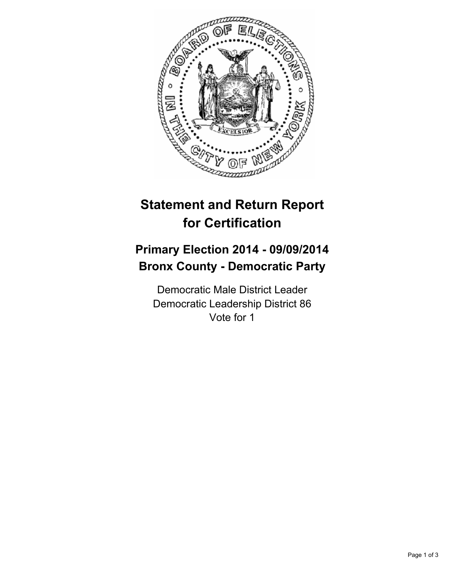

## **Statement and Return Report for Certification**

## **Primary Election 2014 - 09/09/2014 Bronx County - Democratic Party**

Democratic Male District Leader Democratic Leadership District 86 Vote for 1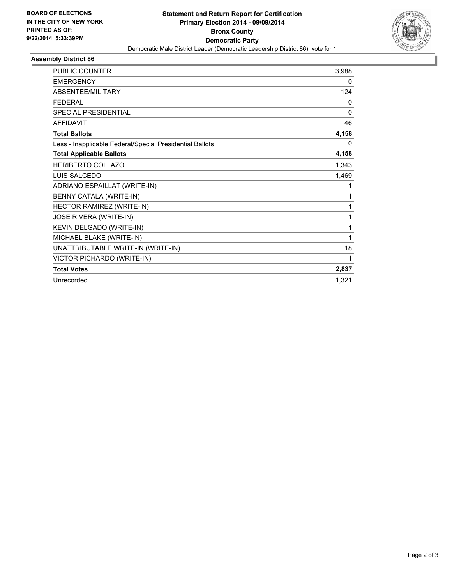

## **Assembly District 86**

| <b>PUBLIC COUNTER</b>                                    | 3,988        |
|----------------------------------------------------------|--------------|
| <b>EMERGENCY</b>                                         | 0            |
| <b>ABSENTEE/MILITARY</b>                                 | 124          |
| <b>FEDERAL</b>                                           | 0            |
| <b>SPECIAL PRESIDENTIAL</b>                              | $\mathbf{0}$ |
| <b>AFFIDAVIT</b>                                         | 46           |
| <b>Total Ballots</b>                                     | 4,158        |
| Less - Inapplicable Federal/Special Presidential Ballots | 0            |
| <b>Total Applicable Ballots</b>                          | 4,158        |
| <b>HERIBERTO COLLAZO</b>                                 | 1,343        |
| LUIS SALCEDO                                             | 1,469        |
| ADRIANO ESPAILLAT (WRITE-IN)                             | 1            |
| BENNY CATALA (WRITE-IN)                                  | 1            |
| HECTOR RAMIREZ (WRITE-IN)                                | 1            |
| JOSE RIVERA (WRITE-IN)                                   | 1            |
| KEVIN DELGADO (WRITE-IN)                                 | 1            |
| MICHAEL BLAKE (WRITE-IN)                                 | 1            |
| UNATTRIBUTABLE WRITE-IN (WRITE-IN)                       | 18           |
| VICTOR PICHARDO (WRITE-IN)                               | 1            |
| <b>Total Votes</b>                                       | 2,837        |
| Unrecorded                                               | 1,321        |